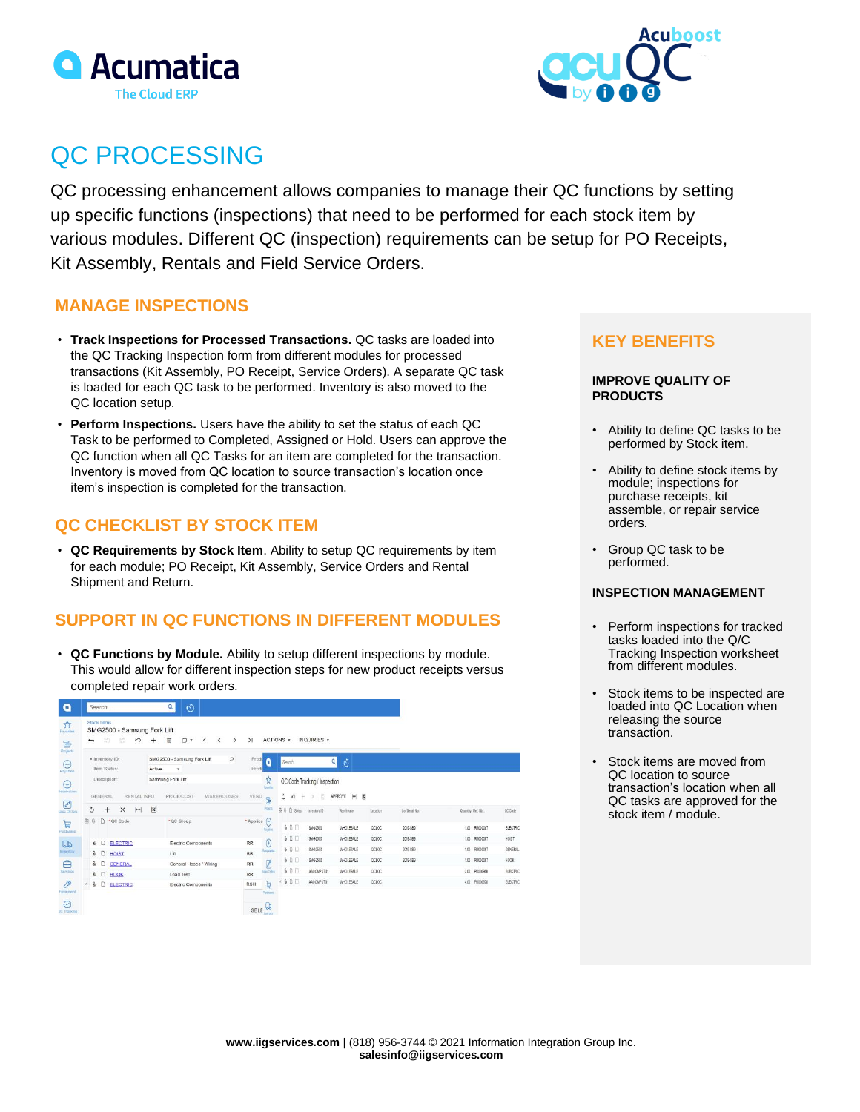



# QC PROCESSING

QC processing enhancement allows companies to manage their QC functions by setting up specific functions (inspections) that need to be performed for each stock item by various modules. Different QC (inspection) requirements can be setup for PO Receipts, Kit Assembly, Rentals and Field Service Orders.

### **MANAGE INSPECTIONS**

- **Track Inspections for Processed Transactions.** QC tasks are loaded into the QC Tracking Inspection form from different modules for processed transactions (Kit Assembly, PO Receipt, Service Orders). A separate QC task is loaded for each QC task to be performed. Inventory is also moved to the QC location setup.
- **Perform Inspections.** Users have the ability to set the status of each QC Task to be performed to Completed, Assigned or Hold. Users can approve the QC function when all QC Tasks for an item are completed for the transaction. Inventory is moved from QC location to source transaction's location once item's inspection is completed for the transaction.

# **QC CHECKLIST BY STOCK ITEM**

• **QC Requirements by Stock Item**. Ability to setup QC requirements by item for each module; PO Receipt, Kit Assembly, Service Orders and Rental Shipment and Return.

# **SUPPORT IN QC FUNCTIONS IN DIFFERENT MODULES**

• **QC Functions by Module.** Ability to setup different inspections by module. This would allow for different inspection steps for new product receipts versus completed repair work orders.

| a                                |                                                                                                                                                                                                                                                      | Search                                       |                                | $\alpha$             | $\circ$                                                 |          |                     |                     |                           |                               |                                                           |          |                 |                    |               |          |
|----------------------------------|------------------------------------------------------------------------------------------------------------------------------------------------------------------------------------------------------------------------------------------------------|----------------------------------------------|--------------------------------|----------------------|---------------------------------------------------------|----------|---------------------|---------------------|---------------------------|-------------------------------|-----------------------------------------------------------|----------|-----------------|--------------------|---------------|----------|
| ☆<br>Favorites<br>ē,             | Stock Items<br>SMG2500 - Samsung Fork Lift<br>$\mathbb{R}$<br>Ô<br>ACTIONS -<br>INQUIRIES -<br>团<br>>1<br>$\circ$<br>自<br>$\mathsf{K}\xspace$<br>$^{+}$<br>$\rightarrow$<br>$\overline{\phantom{a}}$<br>$\left\langle \right\rangle$<br>$\leftarrow$ |                                              |                                |                      |                                                         |          |                     |                     |                           |                               |                                                           |          |                 |                    |               |          |
| Projects<br>$\Theta$<br>Payables | · Inventory ID:<br>Item Status:<br>Description:                                                                                                                                                                                                      |                                              |                                | <b>Active</b>        | SMG2500 - Samsung Fork Lift<br>$\overline{\phantom{a}}$ | $\Omega$ | Prod<br>Produ       | n                   | Search                    |                               | Q<br>O                                                    |          |                 |                    |               |          |
| $\bigoplus$<br>Roceivatiles      |                                                                                                                                                                                                                                                      |                                              |                                |                      | Samsung Fork Lift                                       |          |                     | Ŕ<br>Tyother        |                           | QC Code Tracking / Inspection |                                                           |          |                 |                    |               |          |
| ☑                                | GENERAL<br>RENTAL INFO<br>PRICE/COST<br>WAREHOUSES                                                                                                                                                                                                   |                                              |                                |                      |                                                         |          |                     | VEND<br><b>G</b>    | Ò<br>$\theta$             | B<br>÷<br>x                   | $\overline{\mathbf{x}}$<br><b>APPROVE</b><br>$\mathbb{H}$ |          |                 |                    |               |          |
| <b>Eales Orders</b>              | Ò                                                                                                                                                                                                                                                    | $^{+}$                                       | $\left  - \right $<br>$\times$ | $\boxed{\mathbf{x}}$ |                                                         |          |                     | Asjust              | 8   D Select Inventory ID |                               | Wyshouse                                                  | Location | Lot Serial Nbr. | Quantity Ref. Nkr. |               | OC Code  |
| $\mathbb{F}$<br>Pirthasis        | 降自                                                                                                                                                                                                                                                   |                                              | $D \cdot QC Code$              |                      | * QC Group                                              |          | $A$ pplica $\Theta$ | Payabas             | \$00                      | SMG2500                       | WHOLESALE                                                 | OCLOC    | 2019-589        |                    | 1.00 RR000067 | ELECTRIC |
| $\Box$                           |                                                                                                                                                                                                                                                      |                                              | <b>&amp; D ELECTRIC</b>        |                      | Electric Components                                     |          | <b>RR</b>           | $\Theta$            | \$0                       | SMG2500                       | WHOLESALE                                                 | QUIOC.   | 2019-589        |                    | 1.00 RR000067 | HOST     |
| <b>Inventory</b>                 |                                                                                                                                                                                                                                                      | <b>&amp; D</b> HOIST<br>00<br><b>GENERAL</b> |                                |                      | Lift<br>General Hoses / Wiring                          |          |                     | Hoppuchica          | 0 <sup>T</sup>            | SMG2500                       | WHOLESALE                                                 | QELOC    | 2019-889        |                    | 1.00 RR000067 | GENERAL  |
| Ē                                |                                                                                                                                                                                                                                                      |                                              |                                |                      |                                                         |          |                     | Ø                   | 00                        | SMG2500                       | <b>WHOLESALE</b>                                          | OCLOC    | 2019-S89        |                    | 1.00 RR000067 | HOOK     |
| Sarvices                         |                                                                                                                                                                                                                                                      |                                              | <b>&amp; D</b> HOOK            |                      | Load Test                                               |          | <b>RR</b>           | <b>Sales</b> Cedera | \$0                       | AACOMPUT01                    | <b>WHOLESALE</b>                                          | OCLOC    |                 |                    | 2.00 PR000968 | ELECTRIC |
| $\beta$                          | $\leftarrow 0$                                                                                                                                                                                                                                       |                                              | D ELECTRIC                     | Electric Components  |                                                         |          | <b>RSH</b>          |                     | (80)                      | AACOMPUT01                    | WHOLESALE                                                 | attoc.   |                 |                    | 4.00 PR000970 | ELECTRIC |
| Equipment                        |                                                                                                                                                                                                                                                      |                                              |                                |                      |                                                         |          |                     | Patham              |                           |                               |                                                           |          |                 |                    |               |          |
| Ø<br><b>DC Tracking</b>          |                                                                                                                                                                                                                                                      |                                              |                                |                      |                                                         |          | SELE                | юb                  |                           |                               |                                                           |          |                 |                    |               |          |

# **KEY BENEFITS**

#### **IMPROVE QUALITY OF PRODUCTS**

- Ability to define QC tasks to be performed by Stock item.
- Ability to define stock items by module; inspections for purchase receipts, kit assemble, or repair service orders.
- Group QC task to be performed.

#### **INSPECTION MANAGEMENT**

- Perform inspections for tracked tasks loaded into the Q/C Tracking Inspection worksheet from different modules.
- Stock items to be inspected are loaded into QC Location when releasing the source transaction.
- Stock items are moved from QC location to source transaction's location when all QC tasks are approved for the stock item / module.